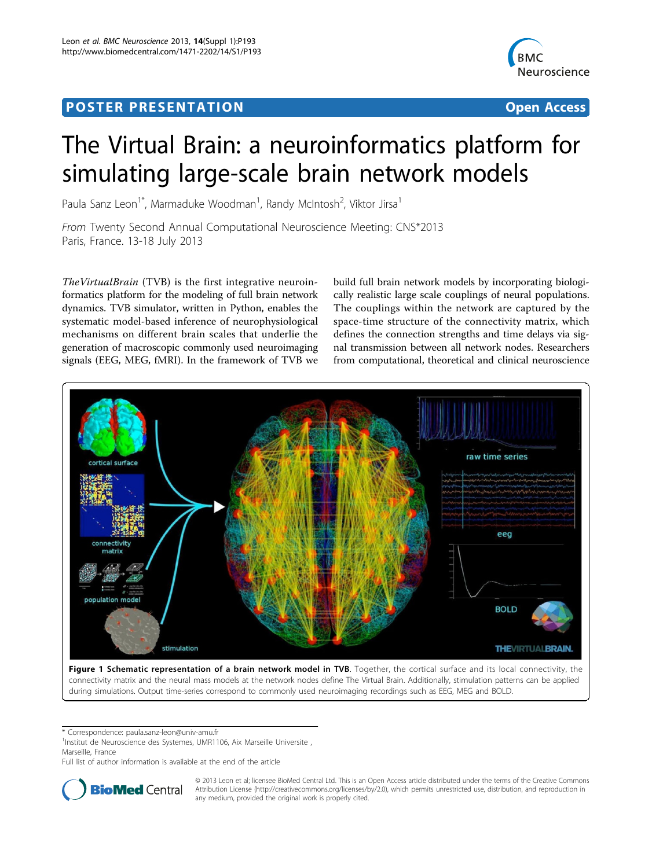## Post Experimental Police in the St English Police in the St English Police in the St English Police in the St<br>Police in the St English Police in the St English Police in the St English Police in the St English Police in



# The Virtual Brain: a neuroinformatics platform for simulating large-scale brain network models

Paula Sanz Leon<sup>1\*</sup>, Marmaduke Woodman<sup>1</sup>, Randy McIntosh<sup>2</sup>, Viktor Jirsa<sup>1</sup>

From Twenty Second Annual Computational Neuroscience Meeting: CNS\*2013 Paris, France. 13-18 July 2013

TheVirtualBrain (TVB) is the first integrative neuroinformatics platform for the modeling of full brain network dynamics. TVB simulator, written in Python, enables the systematic model-based inference of neurophysiological mechanisms on different brain scales that underlie the generation of macroscopic commonly used neuroimaging signals (EEG, MEG, fMRI). In the framework of TVB we

build full brain network models by incorporating biologically realistic large scale couplings of neural populations. The couplings within the network are captured by the space-time structure of the connectivity matrix, which defines the connection strengths and time delays via signal transmission between all network nodes. Researchers from computational, theoretical and clinical neuroscience



Figure 1 Schematic representation of a brain network model in TVB. Together, the cortical surface and its local connectivity, the connectivity matrix and the neural mass models at the network nodes define The Virtual Brain. Additionally, stimulation patterns can be applied during simulations. Output time-series correspond to commonly used neuroimaging recordings such as EEG, MEG and BOLD.

\* Correspondence: [paula.sanz-leon@univ-amu.fr](mailto:paula.sanz-leon@univ-amu.fr)

<sup>1</sup>Institut de Neuroscience des Systemes, UMR1106, Aix Marseille Universite, Marseille, France

Full list of author information is available at the end of the article



© 2013 Leon et al; licensee BioMed Central Ltd. This is an Open Access article distributed under the terms of the Creative Commons Attribution License [\(http://creativecommons.org/licenses/by/2.0](http://creativecommons.org/licenses/by/2.0)), which permits unrestricted use, distribution, and reproduction in any medium, provided the original work is properly cited.